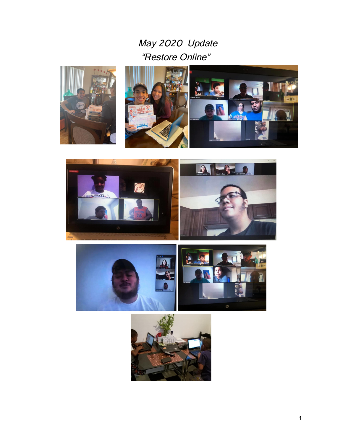## May 2020 Update "Restore Online"











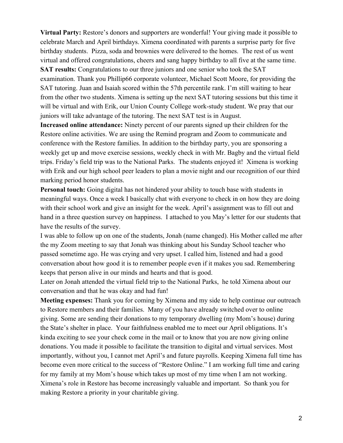**Virtual Party:** Restore's donors and supporters are wonderful! Your giving made it possible to celebrate March and April birthdays. Ximena coordinated with parents a surprise party for five birthday students. Pizza, soda and brownies were delivered to the homes. The rest of us went virtual and offered congratulations, cheers and sang happy birthday to all five at the same time. **SAT results:** Congratulations to our three juniors and one senior who took the SAT

examination. Thank you Phillip66 corporate volunteer, Michael Scott Moore, for providing the SAT tutoring. Juan and Isaiah scored within the 57th percentile rank. I'm still waiting to hear from the other two students. Ximena is setting up the next SAT tutoring sessions but this time it will be virtual and with Erik, our Union County College work-study student. We pray that our juniors will take advantage of the tutoring. The next SAT test is in August.

**Increased online attendance:** Ninety percent of our parents signed up their children for the Restore online activities. We are using the Remind program and Zoom to communicate and conference with the Restore families. In addition to the birthday party, you are sponsoring a weekly get up and move exercise sessions, weekly check in with Mr. Bagby and the virtual field trips. Friday's field trip was to the National Parks. The students enjoyed it! Ximena is working with Erik and our high school peer leaders to plan a movie night and our recognition of our third marking period honor students.

**Personal touch:** Going digital has not hindered your ability to touch base with students in meaningful ways. Once a week I basically chat with everyone to check in on how they are doing with their school work and give an insight for the week. April's assignment was to fill out and hand in a three question survey on happiness. I attached to you May's letter for our students that have the results of the survey.

I was able to follow up on one of the students, Jonah (name changed). His Mother called me after the my Zoom meeting to say that Jonah was thinking about his Sunday School teacher who passed sometime ago. He was crying and very upset. I called him, listened and had a good conversation about how good it is to remember people even if it makes you sad. Remembering keeps that person alive in our minds and hearts and that is good.

Later on Jonah attended the virtual field trip to the National Parks, he told Ximena about our conversation and that he was okay and had fun!

**Meeting expenses:** Thank you for coming by Ximena and my side to help continue our outreach to Restore members and their families. Many of you have already switched over to online giving. Some are sending their donations to my temporary dwelling (my Mom's house) during the State's shelter in place. Your faithfulness enabled me to meet our April obligations. It's kinda exciting to see your check come in the mail or to know that you are now giving online donations. You made it possible to facilitate the transition to digital and virtual services. Most importantly, without you, I cannot met April's and future payrolls. Keeping Ximena full time has become even more critical to the success of "Restore Online." I am working full time and caring for my family at my Mom's house which takes up most of my time when I am not working. Ximena's role in Restore has become increasingly valuable and important. So thank you for making Restore a priority in your charitable giving.